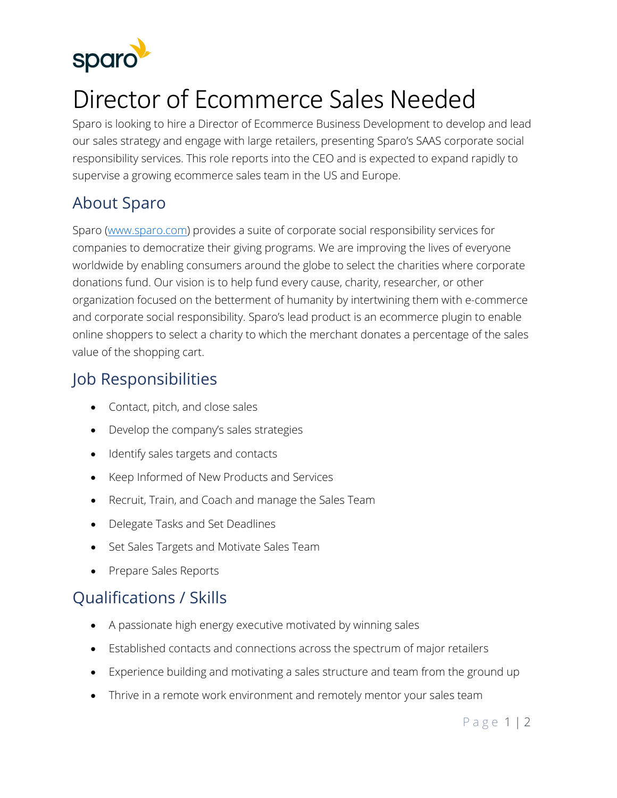

# Director of Ecommerce Sales Needed

Sparo is looking to hire a Director of Ecommerce Business Development to develop and lead our sales strategy and engage with large retailers, presenting Sparo's SAAS corporate social responsibility services. This role reports into the CEO and is expected to expand rapidly to supervise a growing ecommerce sales team in the US and Europe.

## About Sparo

Sparo [\(www.sparo.com\)](http://www.sparo.com/) provides a suite of corporate social responsibility services for companies to democratize their giving programs. We are improving the lives of everyone worldwide by enabling consumers around the globe to select the charities where corporate donations fund. Our vision is to help fund every cause, charity, researcher, or other organization focused on the betterment of humanity by intertwining them with e-commerce and corporate social responsibility. Sparo's lead product is an ecommerce plugin to enable online shoppers to select a charity to which the merchant donates a percentage of the sales value of the shopping cart.

### Job Responsibilities

- Contact, pitch, and close sales
- Develop the company's sales strategies
- Identify sales targets and contacts
- Keep Informed of New Products and Services
- Recruit, Train, and Coach and manage the Sales Team
- Delegate Tasks and Set Deadlines
- Set Sales Targets and Motivate Sales Team
- Prepare Sales Reports

#### Qualifications / Skills

- A passionate high energy executive motivated by winning sales
- Established contacts and connections across the spectrum of major retailers
- Experience building and motivating a sales structure and team from the ground up
- Thrive in a remote work environment and remotely mentor your sales team